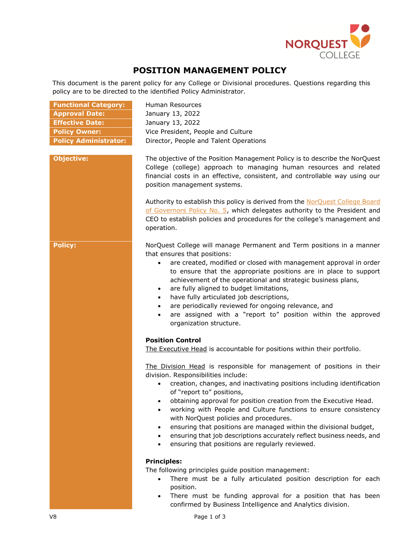

## **POSITION MANAGEMENT POLICY**

This document is the parent policy for any College or Divisional procedures. Questions regarding this policy are to be directed to the identified Policy Administrator.

**Functional Category:** Human Resources

| <b>Approval Date:</b>        | January 13, 2022                                                                                                                                                                                                                                                                                                                                                                                                                                                                                                                                                                                                                                                                                                                                                              |
|------------------------------|-------------------------------------------------------------------------------------------------------------------------------------------------------------------------------------------------------------------------------------------------------------------------------------------------------------------------------------------------------------------------------------------------------------------------------------------------------------------------------------------------------------------------------------------------------------------------------------------------------------------------------------------------------------------------------------------------------------------------------------------------------------------------------|
| <b>Effective Date:</b>       | January 13, 2022                                                                                                                                                                                                                                                                                                                                                                                                                                                                                                                                                                                                                                                                                                                                                              |
| <b>Policy Owner:</b>         | Vice President, People and Culture                                                                                                                                                                                                                                                                                                                                                                                                                                                                                                                                                                                                                                                                                                                                            |
| <b>Policy Administrator:</b> | Director, People and Talent Operations                                                                                                                                                                                                                                                                                                                                                                                                                                                                                                                                                                                                                                                                                                                                        |
| <b>Objective:</b>            | The objective of the Position Management Policy is to describe the NorQuest<br>College (college) approach to managing human resources and related<br>financial costs in an effective, consistent, and controllable way using our<br>position management systems.<br>Authority to establish this policy is derived from the NorQuest College Board<br>of Governors Policy No. 5, which delegates authority to the President and<br>CEO to establish policies and procedures for the college's management and<br>operation.                                                                                                                                                                                                                                                     |
| <b>Policy:</b>               | NorQuest College will manage Permanent and Term positions in a manner<br>that ensures that positions:<br>are created, modified or closed with management approval in order<br>$\bullet$<br>to ensure that the appropriate positions are in place to support<br>achievement of the operational and strategic business plans,<br>are fully aligned to budget limitations,<br>$\bullet$<br>have fully articulated job descriptions,<br>$\bullet$<br>are periodically reviewed for ongoing relevance, and<br>$\bullet$<br>are assigned with a "report to" position within the approved<br>$\bullet$<br>organization structure.                                                                                                                                                    |
|                              | <b>Position Control</b><br>The Executive Head is accountable for positions within their portfolio.<br>The Division Head is responsible for management of positions in their<br>division. Responsibilities include:<br>creation, changes, and inactivating positions including identification<br>$\bullet$<br>of "report to" positions,<br>obtaining approval for position creation from the Executive Head.<br>$\bullet$<br>working with People and Culture functions to ensure consistency<br>$\bullet$<br>with NorQuest policies and procedures.<br>ensuring that positions are managed within the divisional budget,<br>ensuring that job descriptions accurately reflect business needs, and<br>$\bullet$<br>ensuring that positions are regularly reviewed.<br>$\bullet$ |
|                              | <b>Principles:</b><br>The following principles guide position management:<br>There must be a fully articulated position description for each<br>$\bullet$<br>position.<br>There must he funding annroyal for a nosition that has heen                                                                                                                                                                                                                                                                                                                                                                                                                                                                                                                                         |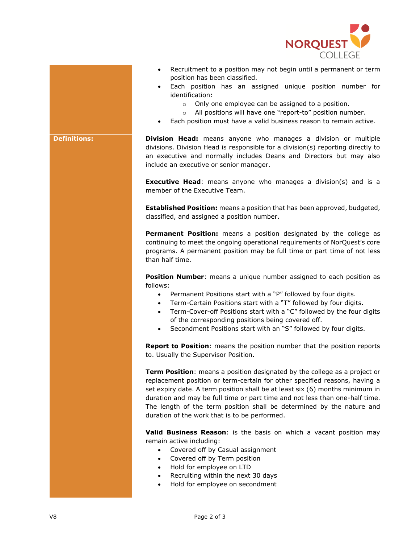

- Recruitment to a position may not begin until a permanent or term position has been classified.
- Each position has an assigned unique position number for identification:
	- o Only one employee can be assigned to a position.
	- o All positions will have one "report-to" position number.
- Each position must have a valid business reason to remain active.

**Definitions: Division Head:** means anyone who manages a division or multiple divisions. Division Head is responsible for a division(s) reporting directly to an executive and normally includes Deans and Directors but may also include an executive or senior manager.

> **Executive Head**: means anyone who manages a division(s) and is a member of the Executive Team.

> **Established Position:** means a position that has been approved, budgeted, classified, and assigned a position number.

> **Permanent Position:** means a position designated by the college as continuing to meet the ongoing operational requirements of NorQuest's core programs. A permanent position may be full time or part time of not less than half time.

> **Position Number:** means a unique number assigned to each position as follows:

- Permanent Positions start with a "P" followed by four digits.
- Term-Certain Positions start with a "T" followed by four digits.
- Term-Cover-off Positions start with a "C" followed by the four digits of the corresponding positions being covered off.
- Secondment Positions start with an "S" followed by four digits.

**Report to Position**: means the position number that the position reports to. Usually the Supervisor Position.

**Term Position**: means a position designated by the college as a project or replacement position or term-certain for other specified reasons, having a set expiry date. A term position shall be at least six (6) months minimum in duration and may be full time or part time and not less than one-half time. The length of the term position shall be determined by the nature and duration of the work that is to be performed.

**Valid Business Reason**: is the basis on which a vacant position may remain active including:

- Covered off by Casual assignment
- Covered off by Term position
- Hold for employee on LTD
- Recruiting within the next 30 days
- Hold for employee on secondment